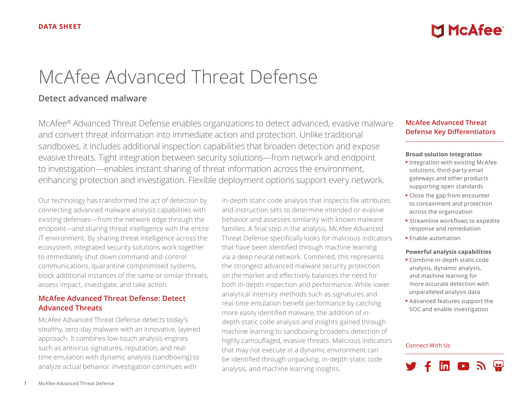# **McAfee**

# McAfee Advanced Threat Defense

# **Detect advanced malware**

McAfee® Advanced Threat Defense enables organizations to detect advanced, evasive malware and convert threat information into immediate action and protection. Unlike traditional sandboxes, it includes additional inspection capabilities that broaden detection and expose evasive threats. Tight integration between security solutions—from network and endpoint to investigation—enables instant sharing of threat information across the environment, enhancing protection and investigation. Flexible deployment options support every network.

Our technology has transformed the act of detection by connecting advanced malware analysis capabilities with existing defenses—from the network edge through the endpoint—and sharing threat intelligence with the entire IT environment. By sharing threat intelligence across the ecosystem, integrated security solutions work together to immediately shut down command-and-control communications, quarantine compromised systems, block additional instances of the same or similar threats, assess impact, investigate, and take action.

# **McAfee Advanced Threat Defense: Detect Advanced Threats**

McAfee Advanced Threat Defense detects today's stealthy, zero-day malware with an innovative, layered approach. It combines low-touch analysis engines such as antivirus signatures, reputation, and realtime emulation with dynamic analysis (sandboxing) to analyze actual behavior. Investigation continues with

in-depth static code analysis that inspects file attributes and instruction sets to determine intended or evasive behavior and assesses similarity with known malware families. A final step in the analysis, McAfee Advanced Threat Defense specifically looks for malicious indicators that have been identified through machine learning via a deep neural network. Combined, this represents the strongest advanced malware security protection on the market and effectively balances the need for both in-depth inspection and performance. While lower analytical intensity methods such as signatures and real-time emulation benefit performance by catching more easily identified malware, the addition of indepth static code analysis and insights gained through machine learning to sandboxing broadens detection of highly camouflaged, evasive threats. Malicious indicators that may not execute in a dynamic environment can be identified through unpacking, in-depth static code analysis, and machine learning insights.

# **McAfee Advanced Threat Defense Key Differentiators**

#### **Broad solution integration**

- Integration with existing McAfee solutions, third-party email gateways and other products supporting open standards
- Close the gap from encounter to containment and protection across the organization
- Streamline workflows to expedite response and remediation
- Enable automation

#### **Powerful analysis capabilities**

- Combine in-depth static code analysis, dynamic analysis, and machine learning for more accurate detection with unparalleled analysis data
- Advanced features support the SOC and enable investigation

#### Connect With Us

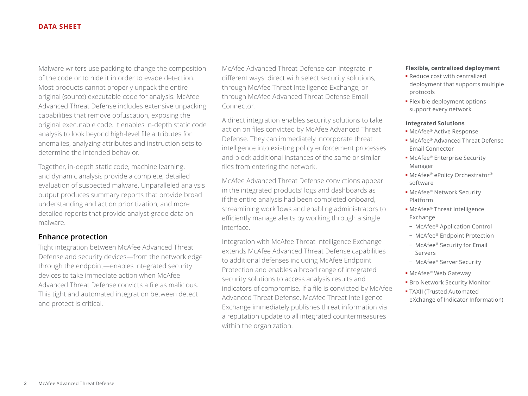Malware writers use packing to change the composition of the code or to hide it in order to evade detection. Most products cannot properly unpack the entire original (source) executable code for analysis. McAfee Advanced Threat Defense includes extensive unpacking capabilities that remove obfuscation, exposing the original executable code. It enables in-depth static code analysis to look beyond high-level file attributes for anomalies, analyzing attributes and instruction sets to determine the intended behavior.

Together, in-depth static code, machine learning, and dynamic analysis provide a complete, detailed evaluation of suspected malware. Unparalleled analysis output produces summary reports that provide broad understanding and action prioritization, and more detailed reports that provide analyst-grade data on malware.

# **Enhance protection**

Tight integration between McAfee Advanced Threat Defense and security devices—from the network edge through the endpoint—enables integrated security devices to take immediate action when McAfee Advanced Threat Defense convicts a file as malicious. This tight and automated integration between detect and protect is critical.

McAfee Advanced Threat Defense can integrate in different ways: direct with select security solutions, through McAfee Threat Intelligence Exchange, or through McAfee Advanced Threat Defense Email Connector.

A direct integration enables security solutions to take action on files convicted by McAfee Advanced Threat Defense. They can immediately incorporate threat intelligence into existing policy enforcement processes and block additional instances of the same or similar files from entering the network.

McAfee Advanced Threat Defense convictions appear in the integrated products' logs and dashboards as if the entire analysis had been completed onboard, streamlining workflows and enabling administrators to efficiently manage alerts by working through a single interface.

Integration with McAfee Threat Intelligence Exchange extends McAfee Advanced Threat Defense capabilities to additional defenses including McAfee Endpoint Protection and enables a broad range of integrated security solutions to access analysis results and indicators of compromise. If a file is convicted by McAfee Advanced Threat Defense, McAfee Threat Intelligence Exchange immediately publishes threat information via a reputation update to all integrated countermeasures within the organization.

#### **Flexible, centralized deployment**

- Reduce cost with centralized deployment that supports multiple protocols
- Flexible deployment options support every network

#### **Integrated Solutions**

- McAfee® Active Response
- McAfee® Advanced Threat Defense Email Connector
- McAfee® Enterprise Security Manager
- McAfee® ePolicy Orchestrator® software
- McAfee® Network Security Platform
- McAfee® Threat Intelligence Exchange
- − McAfee® Application Control
- − McAfee® Endpoint Protection
- − McAfee® Security for Email Servers
- − McAfee® Server Security
- McAfee® Web Gateway
- Bro Network Security Monitor
- TAXII (Trusted Automated eXchange of Indicator Information)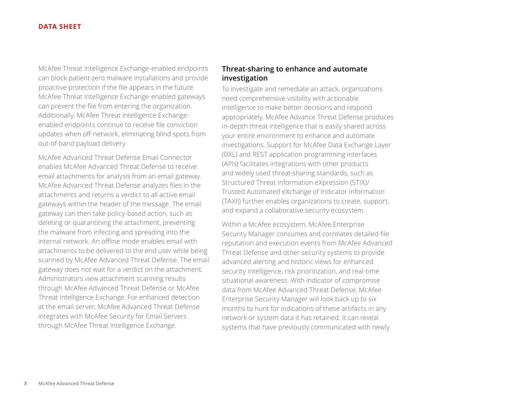McAfee Threat Intelligence Exchange-enabled endpoints can block patient-zero malware installations and provide proactive protection if the file appears in the future. McAfee Threat Intelligence Exchange-enabled gateways can prevent the file from entering the organization. Additionally, McAfee Threat Intelligence Exchangeenabled endpoints continue to receive file conviction updates when off-network, eliminating blind spots from out-of-band payload delivery.

McAfee Advanced Threat Defense Email Connector enables McAfee Advanced Threat Defense to receive email attachments for analysis from an email gateway. McAfee Advanced Threat Defense analyzes files in the attachments and returns a verdict to all active email gateways within the header of the message. The email gateway can then take policy-based action, such as deleting or quarantining the attachment, preventing the malware from infecting and spreading into the internal network. An offline mode enables email with attachments to be delivered to the end user while being scanned by McAfee Advanced Threat Defense. The email gateway does not wait for a verdict on the attachment. Administrators view attachment scanning results through McAfee Advanced Threat Defense or McAfee Threat Intelligence Exchange. For enhanced detection at the email server, McAfee Advanced Threat Defense integrates with McAfee Security for Email Servers through McAfee Threat Intelligence Exchange.

# **Threat-sharing to enhance and automate investigation**

To investigate and remediate an attack, organizations need comprehensive visibility with actionable intelligence to make better decisions and respond appropriately. McAfee Advance Threat Defense produces in-depth threat intelligence that is easily shared across your entire environment to enhance and automate investigations. Support for McAfee Data Exchange Layer (DXL) and REST application programming interfaces (APIs) facilitates integrations with other products and widely used threat-sharing standards, such as Structured Threat Information eXpression (STIX)/ Trusted Automated eXchange of Indicator Information (TAXII) further enables organizations to create, support, and expand a collaborative security ecosystem.

Within a McAfee ecosystem, McAfee Enterprise Security Manager consumes and correlates detailed file reputation and execution events from McAfee Advanced Threat Defense and other security systems to provide advanced alerting and historic views for enhanced security intelligence, risk prioritization, and real-time situational awareness. With indicator of compromise data from McAfee Advanced Threat Defense, McAfee Enterprise Security Manager will look back up to six months to hunt for indications of these artifacts in any network or system data it has retained. It can reveal systems that have previously communicated with newly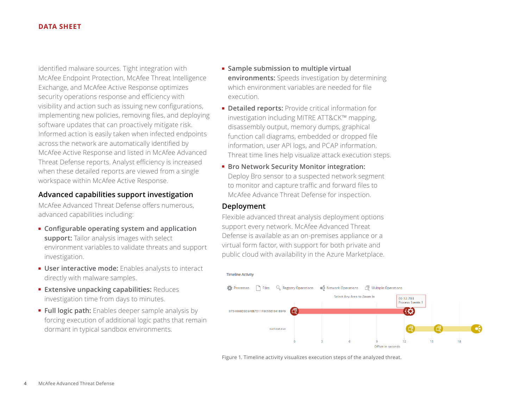identified malware sources. Tight integration with McAfee Endpoint Protection, McAfee Threat Intelligence Exchange, and McAfee Active Response optimizes security operations response and efficiency with visibility and action such as issuing new configurations, implementing new policies, removing files, and deploying software updates that can proactively mitigate risk. Informed action is easily taken when infected endpoints across the network are automatically identified by McAfee Active Response and listed in McAfee Advanced Threat Defense reports. Analyst efficiency is increased when these detailed reports are viewed from a single workspace within McAfee Active Response.

# **Advanced capabilities support investigation**

McAfee Advanced Threat Defense offers numerous, advanced capabilities including:

- **Configurable operating system and application support:** Tailor analysis images with select environment variables to validate threats and support investigation.
- **User interactive mode:** Enables analysts to interact directly with malware samples.
- **Extensive unpacking capabilities:** Reduces investigation time from days to minutes.
- **Full logic path:** Enables deeper sample analysis by forcing execution of additional logic paths that remain dormant in typical sandbox environments.
- **Sample submission to multiple virtual environments:** Speeds investigation by determining which environment variables are needed for file execution.
- **Detailed reports:** Provide critical information for investigation including MITRE ATT&CK™ mapping, disassembly output, memory dumps, graphical function call diagrams, embedded or dropped file information, user API logs, and PCAP information. Threat time lines help visualize attack execution steps.
- **Bro Network Security Monitor integration:** Deploy Bro sensor to a suspected network segment to monitor and capture traffic and forward files to McAfee Advance Threat Defense for inspection.

# **Deployment**

Flexible advanced threat analysis deployment options support every network. McAfee Advanced Threat Defense is available as an on-premises appliance or a virtual form factor, with support for both private and public cloud with availability in the Azure Marketplace.



Figure 1. Timeline activity visualizes execution steps of the analyzed threat.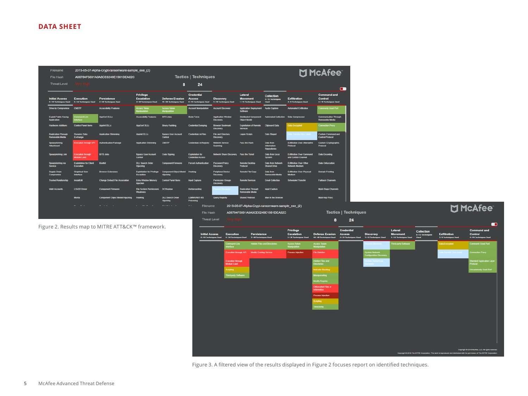| Filename                                           |                                                    | 2015-05-07-Alpha-Crypt-ransomware-sample exe (2)  |                                                               |                                                          |                                                            | M McAfee <sup>-</sup>                                        |                                                          |                                                               |                                                          |                                                        |                                                   |
|----------------------------------------------------|----------------------------------------------------|---------------------------------------------------|---------------------------------------------------------------|----------------------------------------------------------|------------------------------------------------------------|--------------------------------------------------------------|----------------------------------------------------------|---------------------------------------------------------------|----------------------------------------------------------|--------------------------------------------------------|---------------------------------------------------|
| <b>File Hash</b>                                   |                                                    | A08784F5691A0A8CE6249E1981DEA82C                  |                                                               |                                                          | <b>Tactics   Techniques</b>                                |                                                              |                                                          |                                                               |                                                          |                                                        |                                                   |
| <b>Threat Level</b>                                |                                                    |                                                   |                                                               | 8                                                        | 24                                                         |                                                              |                                                          |                                                               |                                                          |                                                        | О                                                 |
| <b>Initial Access</b><br>0/10 Techniques Used      | <b>Execution</b><br>5/24 Techniques Used           | <b>Persistence</b><br>2/40 Techniques Used        | <b>Privilege</b><br><b>Escalation</b><br>2/20 Techniques Used | <b>Defense Evasion</b><br>10/48 Techniques Used          | <b>Credential</b><br><b>Access</b><br>0/15 Techniques Used | <b>Discovery</b><br>3/18 Techniques Used                     | Lateral<br><b>Movement</b><br>1/15 Techniques Used       | <b>Collection</b><br>0/13 Techniques<br><b>Used</b>           | <b>Exfiltration</b><br>2/9 Techniques Used               | <b>Command and</b><br>Control<br>4/19 Techniques Used  |                                                   |
| <b>Drive-by Compromise</b>                         | CMSTP                                              | <b>Accessibility Features</b>                     | <b>Access Token</b><br><b>Manipulation</b>                    | <b>Access Token</b><br>Manipulation                      | <b>Account Manipulation</b>                                | <b>Account Discovery</b>                                     | <b>Application Deployment</b><br><b>Software</b>         | <b>Audio Capture</b>                                          | <b>Automated Exfiltration</b>                            | Commonly Used Port                                     |                                                   |
| <b>Exploit Public Facing</b><br><b>Application</b> | <b>Command Line</b><br>tertace                     | <b>AppCert DLLs</b>                               | <b>Accessibility Features</b>                                 | <b>BITS Jobs</b>                                         | <b>Brute Force</b>                                         | <b>Application Window</b><br><b>Discovery</b>                | <b>Distributed Component</b><br><b>Object Model</b>      | <b>Automated Collection</b>                                   | <b>Data Compressed</b>                                   | <b>Communication Through</b><br><b>Removable Media</b> |                                                   |
| <b>Hardware Additions</b>                          | <b>Control Panel Rems</b>                          | <b>Applnit DLLS</b>                               | <b>AppCert DLL:</b>                                           | <b>Binary Padding</b>                                    | <b>Credential Dumping</b>                                  | <b>Browser Bookmark</b><br><b>Discovery</b>                  | <b>Exploitation of Remote</b><br><b>Services</b>         | <b>Clipboard Data</b>                                         | <b>Data Encrypted</b>                                    | <b>Connection Proxy</b>                                |                                                   |
| <b>Replication Through</b><br>Removable Media      | <b>Dynamic Data</b><br>Exchange                    | <b>Application Shimming</b>                       | <b>Apoint DLLS</b>                                            | <b>Bypass User Account</b><br>Control                    | <b>Credentials in Files</b>                                | <b>File and Directory</b><br><b>Discovery</b>                | <b>Logon Scripts</b>                                     | <b>Data Staged</b>                                            | sta Transfer Size Limi                                   | <b>Custom Command and</b><br><b>Control Protocol</b>   |                                                   |
| Spearphishing<br><b>Atlachment</b>                 | <b>Execution through API</b>                       | <b>Authentication Package</b>                     | <b>Application Shimming</b>                                   | <b>CMSTP</b>                                             | <b>Credentials in Registry</b>                             | <b>Network Service</b><br><b>Scanning</b>                    | Pass the Hash                                            | <b>Data from</b><br><b>Information</b><br><b>Repositories</b> | <b>Exhibition Over Atternative</b><br>Protocol           | <b>Custom Cryptographic</b><br>Protocol                |                                                   |
| <b>Spearphishing Link</b>                          | <b>Execution through</b><br><b>Module Load</b>     | <b>BITS Jobs</b>                                  | <b>Bypass User Account</b><br>Control                         | <b>Code Signing</b>                                      | <b>Exploitation for</b><br><b>Credential Access</b>        | Network Share Discovery                                      | Pass the Ticket                                          | <b>Data from Local</b><br><b>System</b>                       | <b>Exhibration Over Command</b><br>and Control Channel   | Data Encoding                                          |                                                   |
| Spearphishing via<br>Service                       | <b>Exploitation for Client</b><br><b>Execution</b> | Bootkit                                           | <b>DLL Search Order</b><br><b>Hijacking</b>                   | <b>Component Firmware</b>                                | <b>Forced Authentication</b>                               | <b>Password Policy</b><br><b>Discovery</b>                   | <b>Remote Desktop</b><br>Protocol                        | <b>Data from Network</b><br><b>Shared Drive</b>               | <b>Exhibation Over Other</b><br><b>Network Medium</b>    | <b>Data Obluscation</b>                                |                                                   |
| <b>Supply Chain</b><br>Compromise                  | <b>Graphical User</b><br>Interface                 | <b>Browser Extensions</b>                         | <b>Exploitation for Privilege</b><br>Escalation               | <b>Component Object Model Hooking</b><br><b>Hiadking</b> |                                                            | <b>Peripheral Device</b><br><b>Discovery</b>                 | <b>Remote File Copy</b>                                  | <b>Data from</b><br><b>Removable Media</b>                    | <b>Exhibration Over Physical</b><br><b>Medium</b>        | <b>Domain Fronting</b>                                 |                                                   |
| <b>Trusted Relationship</b>                        | <b>InstallUtil</b>                                 | <b>Change Default File Association</b>            | <b>Extra Window Memory</b><br><b>Injection</b>                | <b>Control Panel Items</b>                               | <b>Input Capture</b>                                       | <b>Permission Groups</b><br><b>Discovery</b>                 | <b>Remote Services</b>                                   | <b>Email Collection</b>                                       | <b>Scheduled Transfer</b>                                | <b>Falback Channels</b>                                |                                                   |
| <b>Valid Accounts</b>                              | <b>LSASS Driver</b>                                | <b>Component Firmware</b>                         | <b>File System Permissions</b><br><b>Weakness</b>             | <b>DCShadow</b>                                          | Kerberoasting                                              |                                                              | <b>Replication Through</b><br><b>Removable Media</b>     | <b>Input Capture</b>                                          |                                                          | <b>Multi-Stage Channels</b>                            |                                                   |
|                                                    | <b>Mshta</b>                                       | <b>Component Object Model Hijacking</b>           | Hooking                                                       | <b>DLL Search Order</b><br><b>Hijacking</b>              | <b>LLMNR/NRT-NS</b><br>Poisoning                           | Query Registry                                               | <b>Shared Webroot</b>                                    | <b>Man in the Browser</b>                                     |                                                          | <b>Multi-hop Proxy</b>                                 |                                                   |
|                                                    | $ -$                                               | $-1.11$                                           | $-$<br>- 1                                                    | max more to the                                          | $\mathbf{a} \in \mathcal{A}$<br>Filename                   |                                                              | 2015-05-07-Alpha-Crypt-ransomware-sample exe (2)         |                                                               |                                                          |                                                        |                                                   |
|                                                    |                                                    |                                                   |                                                               |                                                          | <b>File Hash</b>                                           |                                                              | A08784F5691A0A8CE6249E1981DEA82C                         |                                                               |                                                          |                                                        | <b>Tactics   Technig</b>                          |
|                                                    |                                                    |                                                   |                                                               |                                                          | <b>Threat Level</b>                                        |                                                              |                                                          |                                                               |                                                          | 8                                                      | 24                                                |
|                                                    |                                                    | Figure 2. Results map to MITRE ATT&CK™ framework. |                                                               |                                                          | <b>Initial Access</b>                                      | <b>Execution</b><br>0.140 Techniques Hard<br><b>KIDATA</b> N | <b>Persistence</b><br>2740 Techniques Hand<br>uses liked |                                                               | Privilege<br><b>Escalation</b><br>2 / 20 Techniques Hard | <b>Defense Evasion</b><br>40 / 48 Techniques Head      | <b>Credential</b><br><b>Access</b><br>0.145 Techn |



**McAfee** 

Figure 3. A filtered view of the results displayed in Figure 2 focuses report on identified techniques.